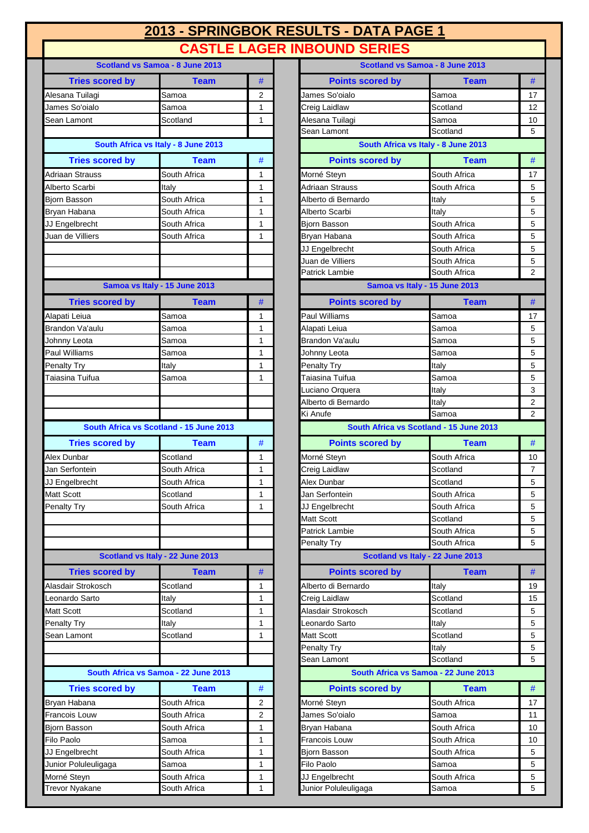| 2013 - SPRINGBOK RESULTS - DATA PAGE 1 |  |
|----------------------------------------|--|
| <b>CASTLE LAGER INBOUND SERIES</b>     |  |

| Scotland vs Samoa - 8 June 2013         |                                         |        |  |
|-----------------------------------------|-----------------------------------------|--------|--|
| <b>Tries scored by</b>                  | Team                                    | #      |  |
| Alesana Tuilagi                         | Samoa                                   | 2      |  |
| James So'oialo                          | Samoa                                   | 1      |  |
| Sean Lamont                             | Scotland                                | 1      |  |
|                                         |                                         |        |  |
|                                         | South Africa vs Italy - 8 June 2013     |        |  |
| <b>Tries scored by</b>                  | <b>Team</b>                             | #      |  |
| Adriaan Strauss                         | South Africa                            | 1      |  |
| Alberto Scarbi                          | Italy                                   | 1      |  |
| <b>Bjorn Basson</b>                     | South Africa                            | 1      |  |
| Bryan Habana                            | South Africa                            | 1      |  |
| JJ Engelbrecht                          | South Africa                            | 1      |  |
| Juan de Villiers                        | South Africa                            | 1      |  |
|                                         |                                         |        |  |
|                                         |                                         |        |  |
|                                         |                                         |        |  |
|                                         | Samoa vs Italy - 15 June 2013           |        |  |
| <b>Tries scored by</b>                  | Team                                    | #      |  |
| Alapati Leiua                           | Samoa                                   | 1      |  |
| <b>Brandon Va'aulu</b>                  | Samoa                                   | 1      |  |
| Johnny Leota                            | Samoa                                   | 1      |  |
| Paul Williams                           | Samoa                                   | 1      |  |
| Penalty Try                             | Italy                                   | 1      |  |
| Taiasina Tuifua                         | Samoa                                   | 1      |  |
|                                         |                                         |        |  |
|                                         |                                         |        |  |
|                                         | South Africa vs Scotland - 15 June 2013 |        |  |
|                                         |                                         |        |  |
| <b>Tries scored by</b>                  | Team                                    | #      |  |
| Alex Dunbar                             | Scotland                                | 1      |  |
| Jan Serfontein                          | South Africa                            | 1      |  |
| JJ Engelbrecht                          | South Africa<br>Scotland                | 1      |  |
| <b>Matt Scott</b><br><b>Penalty Try</b> | South Africa                            | 1<br>1 |  |
|                                         |                                         |        |  |
|                                         |                                         |        |  |
|                                         |                                         |        |  |
|                                         | Scotland vs Italy - 22 June 2013        |        |  |
| <b>Tries scored by</b>                  | Team                                    | #      |  |
| Alasdair Strokosch                      | Scotland                                | 1      |  |
| Leonardo Sarto                          | Italy                                   | 1      |  |
| <b>Matt Scott</b>                       | Scotland                                | 1      |  |
| <b>Penalty Try</b>                      | Italy                                   | 1      |  |
| Sean Lamont                             | Scotland                                | 1      |  |
|                                         |                                         |        |  |
|                                         |                                         |        |  |
|                                         | South Africa vs Samoa - 22 June 2013    |        |  |
| <b>Tries scored by</b>                  | Team                                    | #      |  |
| Bryan Habana                            | South Africa                            | 2      |  |
| <b>Francois Louw</b>                    | South Africa                            | 2      |  |
| Bjorn Basson                            | South Africa                            | 1      |  |
| Filo Paolo                              | Samoa                                   | 1      |  |
| JJ Engelbrecht                          | South Africa                            | 1      |  |
| Junior Poluleuligaga                    | Samoa                                   | 1      |  |
| Morné Steyn                             | South Africa                            | 1      |  |
| <b>Trevor Nvakane</b>                   | South Africa                            | 1      |  |

| Scotland vs Samoa - 8 June 2013 |                                         |              |                         | Scotland vs Samoa - 8 June 2013         |                |
|---------------------------------|-----------------------------------------|--------------|-------------------------|-----------------------------------------|----------------|
| <b>Tries scored by</b>          | <b>Team</b>                             | #            | <b>Points scored by</b> | <b>Team</b>                             | #              |
| Alesana Tuilagi                 | Samoa                                   | 2            | James So'oialo          | Samoa                                   | 17             |
| James So'oialo                  | Samoa                                   | $\mathbf{1}$ | Creig Laidlaw           | Scotland                                | 12             |
| Sean Lamont                     | Scotland                                | 1            | Alesana Tuilagi         | Samoa                                   | 10             |
|                                 |                                         |              | Sean Lamont             | Scotland                                | 5              |
|                                 | South Africa vs Italy - 8 June 2013     |              |                         | South Africa vs Italy - 8 June 2013     |                |
| <b>Tries scored by</b>          | <b>Team</b>                             | #            | <b>Points scored by</b> | <b>Team</b>                             | $\#$           |
| Adriaan Strauss                 | South Africa                            | 1            | Morné Steyn             | South Africa                            | 17             |
| Alberto Scarbi                  | Italy                                   | $\mathbf{1}$ | Adriaan Strauss         | South Africa                            | 5              |
| Bjorn Basson                    | South Africa                            | $\mathbf{1}$ | Alberto di Bernardo     | Italy                                   | 5              |
| Bryan Habana                    | South Africa                            | 1            | Alberto Scarbi          | Italy                                   | 5              |
| JJ Engelbrecht                  | South Africa                            | 1            | <b>Bjorn Basson</b>     | South Africa                            | 5              |
| Juan de Villiers                | South Africa                            | 1            | Bryan Habana            | South Africa                            | 5              |
|                                 |                                         |              | JJ Engelbrecht          | South Africa                            | 5              |
|                                 |                                         |              | Juan de Villiers        | South Africa                            | 5              |
|                                 |                                         |              | Patrick Lambie          | South Africa                            | $\overline{2}$ |
|                                 | Samoa vs Italy - 15 June 2013           |              |                         | Samoa vs Italy - 15 June 2013           |                |
| <b>Tries scored by</b>          | Team                                    | #            | <b>Points scored by</b> | <b>Team</b>                             | #              |
| Alapati Leiua                   | Samoa                                   | 1            | <b>Paul Williams</b>    | Samoa                                   | 17             |
| <b>Brandon Va'aulu</b>          | Samoa                                   | $\mathbf{1}$ | Alapati Leiua           | Samoa                                   | 5              |
| Johnny Leota                    | Samoa                                   | 1            | Brandon Va'aulu         | Samoa                                   | 5              |
| Paul Williams                   | Samoa                                   | $\mathbf{1}$ | Johnny Leota            | Samoa                                   | 5              |
| <b>Penalty Try</b>              | Italy                                   | $\mathbf{1}$ | Penalty Try             | Italy                                   | 5              |
| Taiasina Tuifua                 | Samoa                                   | 1            | Taiasina Tuifua         | Samoa                                   | 5              |
|                                 |                                         |              | Luciano Orquera         | Italy                                   | 3              |
|                                 |                                         |              | Alberto di Bernardo     | Italy                                   | $\overline{2}$ |
|                                 |                                         |              | Ki Anufe                | Samoa                                   | $\overline{2}$ |
|                                 | South Africa vs Scotland - 15 June 2013 |              |                         | South Africa vs Scotland - 15 June 2013 |                |
| <b>Tries scored by</b>          | <b>Team</b>                             | #            | <b>Points scored by</b> | <b>Team</b>                             | #              |
| Alex Dunbar                     | Scotland                                | 1            | Morné Steyn             | South Africa                            | 10             |
| Jan Serfontein                  | South Africa                            | 1            | Creig Laidlaw           | Scotland                                | 7              |
| JJ Engelbrecht                  | South Africa                            | 1            | <b>Alex Dunbar</b>      | Scotland                                | 5              |
| Matt Scott                      | Scotland                                | $\mathbf{1}$ | Jan Serfontein          | South Africa                            | 5              |
| Penalty Try                     | South Africa                            | 1            | JJ Engelbrecht          | South Africa                            | 5              |
|                                 |                                         |              | Matt Scott              | Scotland                                | 5              |
|                                 |                                         |              | Patrick Lambie          | South Africa                            | 5              |
|                                 |                                         |              | <b>Penalty Try</b>      | South Africa                            | 5              |
|                                 | Scotland vs Italy - 22 June 2013        |              |                         | Scotland vs Italy - 22 June 2013        |                |
| <b>Tries scored by</b>          | <b>Team</b>                             | #            | <b>Points scored by</b> | <b>Team</b>                             | #              |
| Alasdair Strokosch              | Scotland                                | 1            | Alberto di Bernardo     | Italy                                   | 19             |
| Leonardo Sarto                  | Italy                                   | 1            | Creig Laidlaw           | Scotland                                | 15             |
| Matt Scott                      | Scotland                                | 1            | Alasdair Strokosch      | Scotland                                | 5              |
| Penalty Try                     | Italy                                   | 1            | Leonardo Sarto          | Italy                                   | 5              |
| Sean Lamont                     | Scotland                                | 1            | Matt Scott              | Scotland                                | 5              |
|                                 |                                         |              | Penalty Try             | Italy                                   | 5              |
|                                 |                                         |              | Sean Lamont             | Scotland                                | 5              |
|                                 | South Africa vs Samoa - 22 June 2013    |              |                         | South Africa vs Samoa - 22 June 2013    |                |
| <b>Tries scored by</b>          | <b>Team</b>                             | #            | <b>Points scored by</b> | <b>Team</b>                             | #              |
| Bryan Habana                    | South Africa                            | 2            | Morné Steyn             | South Africa                            | 17             |
| Francois Louw                   | South Africa                            | 2            | James So'oialo          | Samoa                                   | 11             |
| Bjorn Basson                    | South Africa                            | 1            | Bryan Habana            | South Africa                            | 10             |
| Filo Paolo                      | Samoa                                   | 1            | Francois Louw           | South Africa                            | 10             |
| JJ Engelbrecht                  | South Africa                            | 1            | Bjorn Basson            | South Africa                            | 5              |
| Junior Poluleuligaga            | Samoa                                   | 1            | Filo Paolo              | Samoa                                   | 5              |
| Morné Steyn                     | South Africa                            | 1            | JJ Engelbrecht          | South Africa                            | 5              |
| Trevor Nyakane                  | South Africa                            | $\mathbf{1}$ | Junior Poluleuligaga    | Samoa                                   | 5              |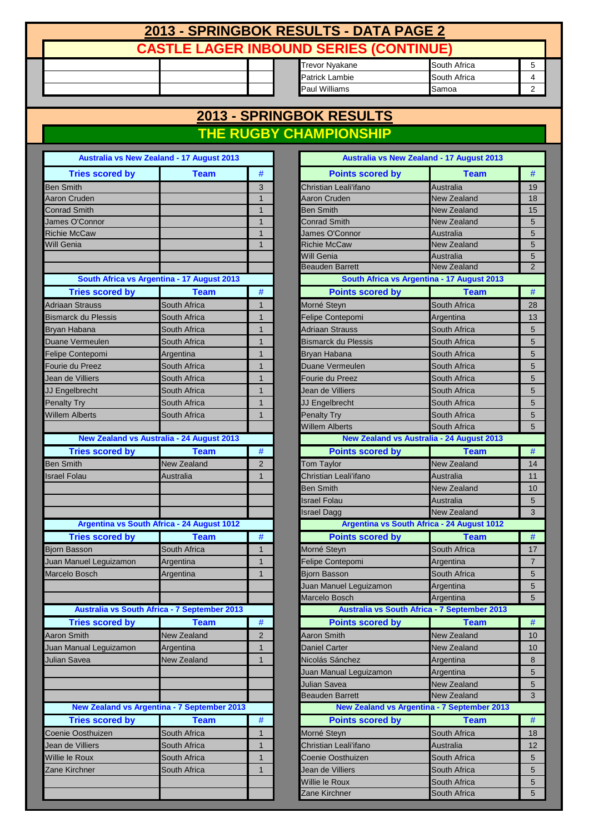# **2013 - SPRINGBOK RESULTS - DATA PAGE 2 CASTLE LAGER INBOUND SERIES (CONTINUE)**

| South Africa<br>Trevor Nvakane<br>South Africa<br>Patrick Lambie<br><b>Paul Williams</b><br><b>I</b> Samoa |  |  |  |  |
|------------------------------------------------------------------------------------------------------------|--|--|--|--|
|                                                                                                            |  |  |  |  |
|                                                                                                            |  |  |  |  |
|                                                                                                            |  |  |  |  |

### **2013 - SPRINGBOK RESULTS THE RUGBY CHAMPIONSHIP**

|                                     | Australia vs New Zealand - 17 August 2013          |                |
|-------------------------------------|----------------------------------------------------|----------------|
| <b>Tries scored by</b>              | Team                                               | #              |
| <b>Ben Smith</b>                    |                                                    | 3              |
| Aaron Cruden                        |                                                    | 1              |
| <b>Conrad Smith</b>                 |                                                    | $\overline{1}$ |
| James O'Connor                      |                                                    | 1              |
| <b>Richie McCaw</b>                 |                                                    | 1              |
| Will Genia                          |                                                    | 1              |
|                                     |                                                    |                |
|                                     | South Africa vs Argentina - 17 August 2013         |                |
| <b>Tries scored by</b>              | <b>Team</b>                                        | #              |
| Adriaan Strauss                     | South Africa                                       | 1              |
| <b>Bismarck du Plessis</b>          | South Africa                                       | 1              |
|                                     |                                                    | 1              |
| Bryan Habana                        | South Africa                                       | 1              |
| Duane Vermeulen                     | South Africa                                       | 1              |
| Felipe Contepomi<br>Fourie du Preez | Argentina<br>South Africa                          | 1              |
| Jean de Villiers                    | South Africa                                       | 1              |
| JJ Engelbrecht                      | South Africa                                       | 1              |
| Penalty Try                         | South Africa                                       | 1              |
| <b>Willem Alberts</b>               | South Africa                                       | 1              |
|                                     |                                                    |                |
|                                     | <b>New Zealand vs Australia - 24 August 2013</b>   |                |
| <b>Tries scored by</b>              | Team                                               | #              |
| <b>Ben Smith</b>                    | <b>New Zealand</b>                                 | $\overline{2}$ |
| <b>Israel Folau</b>                 | Australia                                          | 1              |
|                                     |                                                    |                |
|                                     |                                                    |                |
|                                     |                                                    |                |
|                                     | Argentina vs South Africa - 24 August 1012         |                |
| <b>Tries scored by</b>              | <b>Team</b>                                        | #              |
| <b>Bjorn Basson</b>                 | South Africa                                       | 1              |
| Juan Manuel Leguizamon              | Argentina                                          | 1              |
| Marcelo Bosch                       | Argentina                                          | 1              |
|                                     |                                                    |                |
|                                     |                                                    |                |
|                                     | Australia vs South Africa - 7 September 2013       |                |
| <b>Tries scored by</b>              | Team                                               | #              |
| <b>Aaron Smith</b>                  | <b>New Zealand</b>                                 | 2              |
| Juan Manual Leguizamon              | Argentina                                          | 1              |
| Julian Savea                        | <b>New Zealand</b>                                 | 1              |
|                                     |                                                    |                |
|                                     |                                                    |                |
|                                     |                                                    |                |
|                                     | <b>New Zealand vs Argentina - 7 September 2013</b> |                |
| <b>Tries scored by</b>              | <b>Team</b>                                        | #              |
| Coenie Oosthuizen                   | South Africa                                       | 1              |
| Jean de Villiers                    | South Africa                                       | 1              |
| Willie le Roux                      | South Africa                                       | 1              |
| Zane Kirchner                       | South Africa                                       | 1              |
|                                     |                                                    |                |
|                                     |                                                    |                |
|                                     |                                                    |                |

| <b>Australia vs New Zealand - 17 August 2013</b>   |                    |                | <b>Australia vs New Zealand - 17 August 2013</b>   |                    |                |
|----------------------------------------------------|--------------------|----------------|----------------------------------------------------|--------------------|----------------|
| <b>Tries scored by</b>                             | <b>Team</b>        | #              | <b>Points scored by</b>                            | <b>Team</b>        | #              |
| Ben Smith                                          |                    | 3              | Christian Leali'ifano                              | Australia          | 19             |
| Aaron Cruden                                       |                    | 1              | Aaron Cruden                                       | <b>New Zealand</b> | 18             |
| <b>Conrad Smith</b>                                |                    | $\mathbf{1}$   | Ben Smith                                          | New Zealand        | 15             |
| James O'Connor                                     |                    | $\overline{1}$ | <b>Conrad Smith</b>                                | New Zealand        | 5              |
| <b>Richie McCaw</b>                                |                    | $\mathbf{1}$   | James O'Connor                                     | Australia          | 5              |
| Will Genia                                         |                    | $\mathbf{1}$   | <b>Richie McCaw</b>                                | <b>New Zealand</b> | 5              |
|                                                    |                    |                | Will Genia                                         | Australia          | 5              |
|                                                    |                    |                | <b>Beauden Barrett</b>                             | <b>New Zealand</b> | $\overline{2}$ |
| South Africa vs Argentina - 17 August 2013         |                    |                | South Africa vs Argentina - 17 August 2013         |                    |                |
| <b>Tries scored by</b>                             | <b>Team</b>        | $\#$           | <b>Points scored by</b>                            | <b>Team</b>        | #              |
| <b>Adriaan Strauss</b>                             | South Africa       | 1              | Morné Steyn                                        | South Africa       | 28             |
| <b>Bismarck du Plessis</b>                         | South Africa       | 1              | Felipe Contepomi                                   | Argentina          | 13             |
| Bryan Habana                                       | South Africa       | $\mathbf{1}$   | <b>Adriaan Strauss</b>                             | South Africa       | 5              |
| Duane Vermeulen                                    | South Africa       | 1              | Bismarck du Plessis                                | South Africa       | 5              |
| Felipe Contepomi                                   | Argentina          | 1              | Bryan Habana                                       | South Africa       | 5              |
| Fourie du Preez                                    | South Africa       | 1              | Duane Vermeulen                                    | South Africa       | 5              |
| Jean de Villiers                                   | South Africa       | 1              | Fourie du Preez                                    | South Africa       | 5              |
| JJ Engelbrecht                                     | South Africa       | $\mathbf{1}$   | Jean de Villiers                                   | South Africa       | 5              |
| <b>Penalty Try</b>                                 | South Africa       | 1              | JJ Engelbrecht                                     | South Africa       | 5              |
| <b>Willem Alberts</b>                              | South Africa       | $\mathbf{1}$   | <b>Penalty Try</b>                                 | South Africa       | 5              |
|                                                    |                    |                | <b>Willem Alberts</b>                              | South Africa       | 5              |
| <b>New Zealand vs Australia - 24 August 2013</b>   |                    |                | <b>New Zealand vs Australia - 24 August 2013</b>   |                    |                |
| <b>Tries scored by</b>                             | <b>Team</b>        | $\#$           | <b>Points scored by</b>                            | <b>Team</b>        | $\#$           |
| <b>Ben Smith</b>                                   | <b>New Zealand</b> | $\overline{2}$ | <b>Tom Taylor</b>                                  | <b>New Zealand</b> | 14             |
| <b>Israel Folau</b>                                | Australia          | $\mathbf{1}$   | Christian Leali'ifano                              | Australia          | 11             |
|                                                    |                    |                | <b>Ben Smith</b>                                   | <b>New Zealand</b> | 10             |
|                                                    |                    |                | <b>Israel Folau</b>                                | Australia          | 5              |
|                                                    |                    |                | Israel Dagg                                        | <b>New Zealand</b> | 3              |
| Argentina vs South Africa - 24 August 1012         |                    |                | Argentina vs South Africa - 24 August 1012         |                    |                |
| <b>Tries scored by</b>                             | <b>Team</b>        | $\#$           | <b>Points scored by</b>                            | <b>Team</b>        | $\#$           |
| <b>Bjorn Basson</b>                                | South Africa       | $\mathbf{1}$   | Morné Steyn                                        | South Africa       | 17             |
| Juan Manuel Leguizamon                             | Argentina          | 1              | Felipe Contepomi                                   | Argentina          | $\overline{7}$ |
| Marcelo Bosch                                      | Argentina          | $\mathbf{1}$   | Bjorn Basson                                       | South Africa       | 5              |
|                                                    |                    |                | Juan Manuel Leguizamon                             | Argentina          | 5              |
|                                                    |                    |                | Marcelo Bosch                                      | Argentina          | 5              |
| Australia vs South Africa - 7 September 2013       |                    |                | Australia vs South Africa - 7 September 2013       |                    |                |
| <b>Tries scored by</b>                             | <b>Team</b>        | $\#$           | <b>Points scored by</b>                            | <b>Team</b>        | #              |
| <b>Aaron Smith</b>                                 | New Zealand        | $\overline{2}$ | <b>Aaron Smith</b>                                 | <b>New Zealand</b> | 10             |
| Juan Manual Leguizamon                             | Argentina          | 1              | <b>Daniel Carter</b>                               | <b>New Zealand</b> | 10             |
| Julian Savea                                       | New Zealand        | $\mathbf{1}$   | Nicolás Sánchez                                    | Argentina          | 8              |
|                                                    |                    |                | Juan Manual Leguizamon                             | Argentina          | 5              |
|                                                    |                    |                | Julian Savea                                       | <b>New Zealand</b> | 5              |
|                                                    |                    |                | Beauden Barrett                                    | <b>New Zealand</b> | 3              |
| <b>New Zealand vs Argentina - 7 September 2013</b> |                    |                | <b>New Zealand vs Argentina - 7 September 2013</b> |                    |                |
| <b>Tries scored by</b>                             | Team               | $\#$           | <b>Points scored by</b>                            | <b>Team</b>        | #              |
| Coenie Oosthuizen                                  | South Africa       | $\mathbf{1}$   | Morné Steyn                                        | South Africa       | 18             |
| Jean de Villiers                                   | South Africa       | 1              | Christian Leali'ifano                              | Australia          | 12             |
| Willie le Roux                                     | South Africa       | 1              | Coenie Oosthuizen                                  | South Africa       | 5              |
| Zane Kirchner                                      | South Africa       | 1              | Jean de Villiers                                   | South Africa       | 5              |
|                                                    |                    |                | Willie le Roux                                     | South Africa       | 5              |
|                                                    |                    |                | Zane Kirchner                                      | South Africa       | 5              |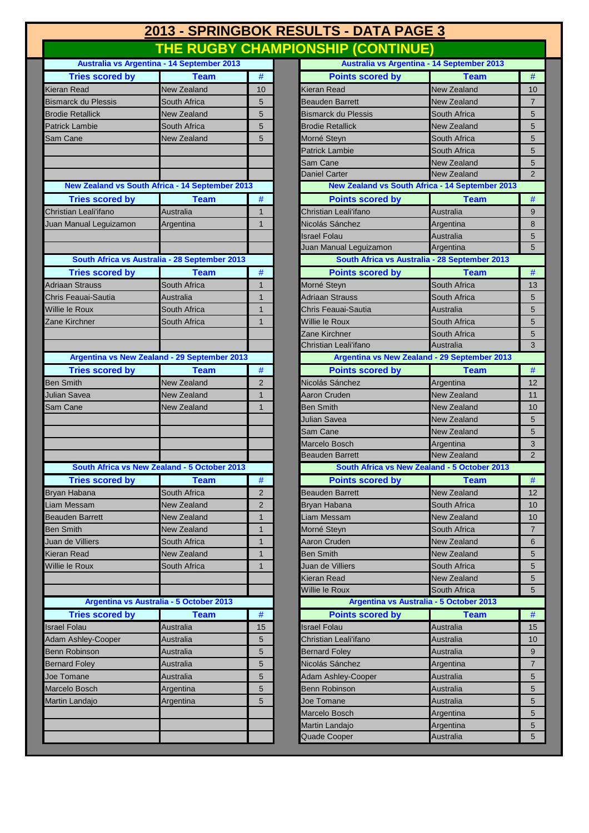## **2013 - SPRINGBOK RESULTS - DATA PAGE 3 THE RUGBY CHAMPIONSHIP (CONTINUE)**

|                            | Australia vs Argentina - 14 September 2013             |                |
|----------------------------|--------------------------------------------------------|----------------|
| <b>Tries scored by</b>     | <b>Team</b>                                            | #              |
| <b>Kieran Read</b>         | <b>New Zealand</b>                                     | 10             |
| <b>Bismarck du Plessis</b> | South Africa                                           | 5              |
| <b>Brodie Retallick</b>    | <b>New Zealand</b>                                     | 5              |
| <b>Patrick Lambie</b>      | South Africa                                           | 5              |
| Sam Cane                   | <b>New Zealand</b>                                     | 5              |
|                            |                                                        |                |
|                            |                                                        |                |
|                            |                                                        |                |
|                            | <b>New Zealand vs South Africa - 14 September 2013</b> |                |
| <b>Tries scored by</b>     | <b>Team</b>                                            | #              |
| Christian Leali'ifano      | Australia                                              | 1              |
| Juan Manual Leguizamon     | Argentina                                              | 1              |
|                            |                                                        |                |
|                            |                                                        |                |
|                            | South Africa vs Australia - 28 September 2013          |                |
| <b>Tries scored by</b>     | <b>Team</b>                                            | #              |
| <b>Adriaan Strauss</b>     | South Africa                                           | 1              |
| Chris Feauai-Sautia        | Australia                                              | 1              |
| Willie le Roux             | South Africa                                           | 1              |
| Zane Kirchner              | South Africa                                           | 1              |
|                            |                                                        |                |
|                            |                                                        |                |
|                            | Argentina vs New Zealand - 29 September 2013           |                |
| <b>Tries scored by</b>     | Team                                                   | #              |
| <b>Ben Smith</b>           | <b>New Zealand</b>                                     | 2              |
| Julian Savea               | <b>New Zealand</b>                                     | 1              |
| Sam Cane                   | <b>New Zealand</b>                                     | 1              |
|                            |                                                        |                |
|                            |                                                        |                |
|                            |                                                        |                |
|                            |                                                        |                |
|                            | South Africa vs New Zealand - 5 October 2013           |                |
| <b>Tries scored by</b>     | <b>Team</b>                                            | #              |
| Bryan Habana               | South Africa                                           | 2              |
| Liam Messam                | New Zealand                                            | $\overline{2}$ |
| <b>Beauden Barrett</b>     | <b>New Zealand</b>                                     | 1              |
| <b>Ben Smith</b>           | <b>New Zealand</b>                                     | 1              |
| Juan de Villiers           | South Africa                                           | $\mathbf{1}$   |
| Kieran Read                | <b>New Zealand</b>                                     | $\overline{1}$ |
| Willie le Roux             | South Africa                                           | 1              |
|                            |                                                        |                |
|                            |                                                        |                |
|                            | Argentina vs Australia - 5 October 2013                |                |
| <b>Tries scored by</b>     | <b>Team</b>                                            | #              |
| <b>Israel Folau</b>        | Australia                                              | 15             |
| <b>Adam Ashley-Cooper</b>  | Australia                                              | 5              |
| <b>Benn Robinson</b>       | Australia                                              | 5              |
| <b>Bernard Foley</b>       | Australia                                              | 5              |
| Joe Tomane                 | Australia                                              | 5              |
| Marcelo Bosch              | Argentina                                              | 5              |
| Martin Landajo             | Argentina                                              | 5              |
|                            |                                                        |                |
|                            |                                                        |                |
|                            |                                                        |                |

| Australia vs Argentina - 14 September 2013      |                                         |                | Australia vs Argentina - 14 September 2013      |                                 |                     |
|-------------------------------------------------|-----------------------------------------|----------------|-------------------------------------------------|---------------------------------|---------------------|
| <b>Tries scored by</b>                          | <b>Team</b>                             | $\#$           | <b>Points scored by</b>                         | <b>Team</b>                     | #                   |
| Kieran Read                                     | <b>New Zealand</b>                      | 10             | Kieran Read                                     | <b>New Zealand</b>              | 10                  |
| <b>Bismarck du Plessis</b>                      | South Africa                            | 5              | <b>Beauden Barrett</b>                          | <b>New Zealand</b>              | $\overline{7}$      |
| <b>Brodie Retallick</b>                         | <b>New Zealand</b>                      | 5              | <b>Bismarck du Plessis</b>                      | South Africa                    | 5                   |
| <b>Patrick Lambie</b>                           | South Africa                            | 5              | <b>Brodie Retallick</b>                         | <b>New Zealand</b>              | 5                   |
| Sam Cane                                        | <b>New Zealand</b>                      | 5              | Morné Steyn                                     | South Africa                    | 5                   |
|                                                 |                                         |                | <b>Patrick Lambie</b>                           | South Africa                    | 5                   |
|                                                 |                                         |                | Sam Cane                                        | <b>New Zealand</b>              | 5                   |
|                                                 |                                         |                | <b>Daniel Carter</b>                            | <b>New Zealand</b>              | 2                   |
| New Zealand vs South Africa - 14 September 2013 |                                         |                | New Zealand vs South Africa - 14 September 2013 |                                 |                     |
| <b>Tries scored by</b>                          | <b>Team</b>                             | $\#$           | <b>Points scored by</b>                         | <b>Team</b>                     | $\#$                |
| Christian Leali'ifano                           | Australia                               | $\mathbf{1}$   | Christian Leali'ifano                           | Australia                       | 9                   |
| Juan Manual Leguizamon                          | Argentina                               | $\mathbf{1}$   | Nicolás Sánchez                                 | Argentina                       | 8                   |
|                                                 |                                         |                | <b>Israel Folau</b>                             | Australia                       | 5                   |
|                                                 |                                         |                | Juan Manual Leguizamon                          | Argentina                       | 5                   |
| South Africa vs Australia - 28 September 2013   |                                         |                | South Africa vs Australia - 28 September 2013   |                                 |                     |
| <b>Tries scored by</b>                          | <b>Team</b>                             | $\#$           | <b>Points scored by</b>                         | <b>Team</b>                     | $\#$                |
| <b>Adriaan Strauss</b>                          | South Africa                            | 1              | Morné Steyn                                     | South Africa                    | 13                  |
| Chris Feauai-Sautia                             | Australia                               | 1              | <b>Adriaan Strauss</b>                          | South Africa                    | 5                   |
| Willie le Roux                                  | South Africa                            | $\mathbf{1}$   | Chris Feauai-Sautia                             | Australia                       | 5                   |
| Zane Kirchner                                   | South Africa                            | $\mathbf{1}$   | Willie le Roux                                  | South Africa                    | 5                   |
|                                                 |                                         |                | Zane Kirchner                                   | South Africa                    | 5                   |
|                                                 |                                         |                | Christian Leali'ifano                           | Australia                       | 3                   |
| Argentina vs New Zealand - 29 September 2013    |                                         |                | Argentina vs New Zealand - 29 September 2013    |                                 |                     |
| <b>Tries scored by</b>                          | <b>Team</b>                             | $\#$           | <b>Points scored by</b>                         | <b>Team</b>                     | $\#$                |
| <b>Ben Smith</b>                                | <b>New Zealand</b>                      | $\overline{2}$ | Nicolás Sánchez                                 | Argentina                       | 12                  |
| Julian Savea                                    | New Zealand                             | $\mathbf{1}$   | <b>Aaron Cruden</b>                             | New Zealand                     | 11                  |
| Sam Cane                                        | New Zealand                             | $\mathbf{1}$   | <b>Ben Smith</b>                                | New Zealand                     | 10                  |
|                                                 |                                         |                | Julian Savea                                    | New Zealand                     | 5                   |
|                                                 |                                         |                | Sam Cane                                        | New Zealand                     | 5                   |
|                                                 |                                         |                | Marcelo Bosch<br><b>Beauden Barrett</b>         | Argentina<br><b>New Zealand</b> | 3<br>$\overline{2}$ |
| South Africa vs New Zealand - 5 October 2013    |                                         |                | South Africa vs New Zealand - 5 October 2013    |                                 |                     |
| <b>Tries scored by</b>                          | <b>Team</b>                             | $\#$           | <b>Points scored by</b>                         | <b>Team</b>                     | $\#$                |
| Bryan Habana                                    | South Africa                            | $\overline{2}$ | <b>Beauden Barrett</b>                          | <b>New Zealand</b>              | 12                  |
| Liam Messam                                     | <b>New Zealand</b>                      |                | Bryan Habana                                    | South Africa                    |                     |
| <b>Beauden Barrett</b>                          | New Zealand                             | 2<br>1         | Liam Messam                                     | <b>New Zealand</b>              | 10<br>10            |
| <b>Ben Smith</b>                                | New Zealand                             | 1              | Morné Steyn                                     | South Africa                    | $\overline{7}$      |
| Juan de Villiers                                | South Africa                            | 1              | Aaron Cruden                                    | New Zealand                     | 6                   |
| Kieran Read                                     | New Zealand                             | $\mathbf{1}$   | Ben Smith                                       | <b>New Zealand</b>              | 5                   |
| Willie le Roux                                  | South Africa                            | $\mathbf{1}$   | Juan de Villiers                                | South Africa                    | 5                   |
|                                                 |                                         |                | Kieran Read                                     | New Zealand                     | 5                   |
|                                                 |                                         |                | Willie le Roux                                  | South Africa                    | 5                   |
|                                                 | Argentina vs Australia - 5 October 2013 |                | Argentina vs Australia - 5 October 2013         |                                 |                     |
| <b>Tries scored by</b>                          | Team                                    | $\#$           | <b>Points scored by</b>                         | <b>Team</b>                     | $\#$                |
| <b>Israel Folau</b>                             | Australia                               | 15             | <b>Israel Folau</b>                             | Australia                       | 15                  |
| <b>Adam Ashley-Cooper</b>                       | Australia                               | 5              | Christian Leali'ifano                           | Australia                       | 10                  |
| <b>Benn Robinson</b>                            | Australia                               | 5              | <b>Bernard Foley</b>                            | Australia                       | 9                   |
| <b>Bernard Foley</b>                            | Australia                               | 5              | Nicolás Sánchez                                 | Argentina                       | 7                   |
| Joe Tomane                                      | Australia                               | 5              | <b>Adam Ashley-Cooper</b>                       | Australia                       | 5                   |
| Marcelo Bosch                                   | Argentina                               | 5              | Benn Robinson                                   | Australia                       | 5                   |
| Martin Landajo                                  | Argentina                               | 5              | Joe Tomane                                      | Australia                       | 5                   |
|                                                 |                                         |                | Marcelo Bosch                                   | Argentina                       | 5                   |
|                                                 |                                         |                | Martin Landajo                                  | Argentina                       | 5                   |
|                                                 |                                         |                | <b>Quade Cooper</b>                             | Australia                       | 5                   |
|                                                 |                                         |                |                                                 |                                 |                     |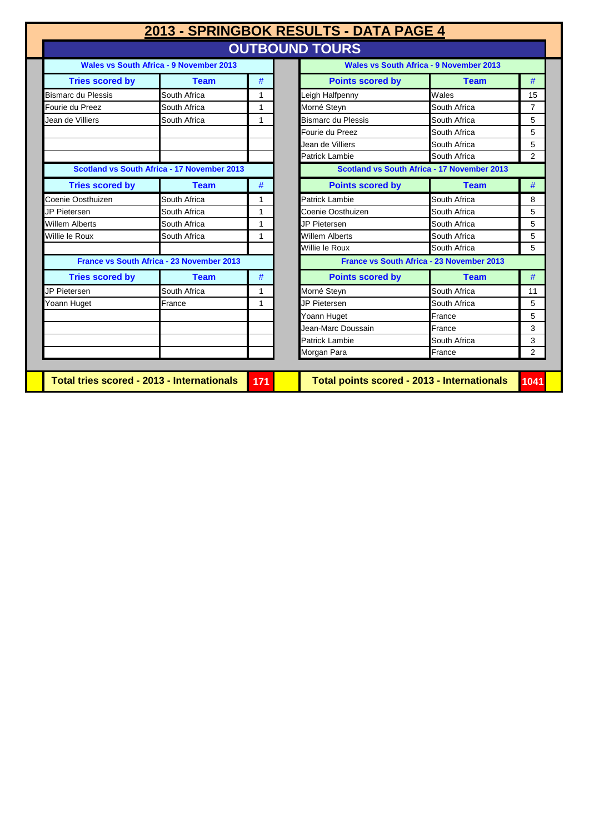|                                                                                            |                                                  |     | 2013 - SPRINGBOK RESULTS - DATA PAGE 4      |                                                |                |
|--------------------------------------------------------------------------------------------|--------------------------------------------------|-----|---------------------------------------------|------------------------------------------------|----------------|
|                                                                                            |                                                  |     | <b>OUTBOUND TOURS</b>                       |                                                |                |
|                                                                                            | Wales vs South Africa - 9 November 2013          |     |                                             | <b>Wales vs South Africa - 9 November 2013</b> |                |
| <b>Tries scored by</b>                                                                     | <b>Team</b>                                      | #   | <b>Points scored by</b>                     | <b>Team</b>                                    | #              |
| <b>Bismarc du Plessis</b>                                                                  | South Africa                                     | 1   | Leigh Halfpenny                             | Wales                                          | 15             |
| Fourie du Preez                                                                            | South Africa                                     | 1   | Morné Steyn                                 | South Africa                                   | $\overline{7}$ |
| Jean de Villiers                                                                           | South Africa                                     | 1   | <b>Bismarc du Plessis</b>                   | South Africa                                   | 5              |
|                                                                                            |                                                  |     | Fourie du Preez                             | South Africa                                   | 5              |
|                                                                                            |                                                  |     | Jean de Villiers                            | South Africa                                   | 5              |
|                                                                                            |                                                  |     | <b>Patrick Lambie</b>                       | South Africa                                   | 2              |
| Scotland vs South Africa - 17 November 2013<br>Scotland vs South Africa - 17 November 2013 |                                                  |     |                                             |                                                |                |
| <b>Tries scored by</b>                                                                     | <b>Team</b>                                      | #   | <b>Points scored by</b>                     | <b>Team</b>                                    | #              |
| Coenie Oosthuizen                                                                          | South Africa                                     | 1   | Patrick Lambie                              | South Africa                                   | 8              |
| JP Pietersen                                                                               | South Africa                                     | 1   | Coenie Oosthuizen                           | South Africa                                   | 5              |
| <b>Willem Alberts</b>                                                                      | South Africa                                     | 1   | JP Pietersen                                | South Africa                                   | 5              |
| Willie le Roux                                                                             | South Africa                                     | 1   | <b>Willem Alberts</b>                       | South Africa                                   | 5              |
|                                                                                            |                                                  |     | Willie le Roux                              | South Africa                                   | 5              |
|                                                                                            | <b>France vs South Africa - 23 November 2013</b> |     |                                             | France vs South Africa - 23 November 2013      |                |
| <b>Tries scored by</b>                                                                     | <b>Team</b>                                      | #   | <b>Points scored by</b>                     | <b>Team</b>                                    | #              |
| JP Pietersen                                                                               | South Africa                                     | 1   | Morné Steyn                                 | South Africa                                   | 11             |
| Yoann Huget                                                                                | France                                           | 1   | JP Pietersen                                | South Africa                                   | 5              |
|                                                                                            |                                                  |     | Yoann Huget                                 | France                                         | 5              |
|                                                                                            |                                                  |     | Jean-Marc Doussain                          | France                                         | 3              |
|                                                                                            |                                                  |     | Patrick Lambie                              | South Africa                                   | 3              |
|                                                                                            |                                                  |     | Morgan Para                                 | France                                         | 2              |
|                                                                                            |                                                  |     |                                             |                                                |                |
| <b>Total tries scored - 2013 - Internationals</b>                                          |                                                  | 171 | Total points scored - 2013 - Internationals |                                                | 1041           |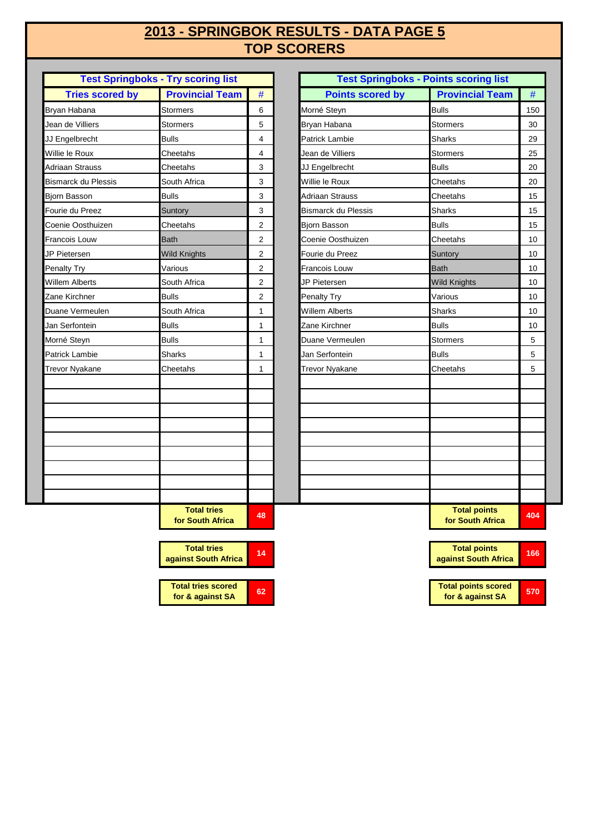## **TOP SCORERS 2013 - SPRINGBOK RESULTS - DATA PAGE 5**

| <b>Test Springboks - Try scoring list</b> |                                        |                |  |  |
|-------------------------------------------|----------------------------------------|----------------|--|--|
| <b>Tries scored by</b>                    | <b>Provincial Team</b>                 | #              |  |  |
| Bryan Habana                              | Stormers                               | 6              |  |  |
| Jean de Villiers                          | <b>Stormers</b>                        | 5              |  |  |
| JJ Engelbrecht                            | <b>Bulls</b>                           | 4              |  |  |
| Willie le Roux                            | Cheetahs                               | 4              |  |  |
| Adriaan Strauss                           | Cheetahs                               | 3              |  |  |
| <b>Bismarck du Plessis</b>                | South Africa                           | 3              |  |  |
| Bjorn Basson                              | <b>Bulls</b>                           | 3              |  |  |
| Fourie du Preez                           | Suntory                                | 3              |  |  |
| Coenie Oosthuizen                         | Cheetahs                               | 2              |  |  |
| Francois Louw                             | <b>Bath</b>                            | $\overline{2}$ |  |  |
| JP Pietersen                              | <b>Wild Knights</b>                    | 2              |  |  |
| Penalty Try                               | Various                                | $\overline{2}$ |  |  |
| Willem Alberts                            | South Africa                           | 2              |  |  |
| Zane Kirchner                             | <b>Bulls</b>                           | $\overline{2}$ |  |  |
| Duane Vermeulen                           | South Africa                           | 1              |  |  |
| Jan Serfontein                            | <b>Bulls</b>                           | 1              |  |  |
| Morné Steyn                               | <b>Bulls</b>                           | 1              |  |  |
| <b>Patrick Lambie</b>                     | <b>Sharks</b>                          | 1              |  |  |
| Trevor Nyakane                            | Cheetahs                               | 1              |  |  |
|                                           |                                        |                |  |  |
|                                           |                                        |                |  |  |
|                                           |                                        |                |  |  |
|                                           |                                        |                |  |  |
|                                           |                                        |                |  |  |
|                                           |                                        |                |  |  |
|                                           |                                        |                |  |  |
|                                           |                                        |                |  |  |
|                                           |                                        |                |  |  |
|                                           | <b>Total tries</b><br>for South Africa | 48             |  |  |

**Total tries scored for & against SA**

**Total tries against South Africa <sup>14</sup>**

|                            | <b>Test Springboks - Try scoring list</b> |                |                            | <b>Test Springboks - Points scoring list</b> |
|----------------------------|-------------------------------------------|----------------|----------------------------|----------------------------------------------|
| <b>Tries scored by</b>     | <b>Provincial Team</b>                    | $\#$           | <b>Points scored by</b>    | <b>Provincial Team</b>                       |
| Bryan Habana               | <b>Stormers</b>                           | 6              | Morné Steyn                | <b>Bulls</b>                                 |
| Jean de Villiers           | <b>Stormers</b>                           | 5              | Bryan Habana               | <b>Stormers</b>                              |
| JJ Engelbrecht             | <b>Bulls</b>                              | 4              | <b>Patrick Lambie</b>      | <b>Sharks</b>                                |
| Willie le Roux             | Cheetahs                                  | 4              | Jean de Villiers           | Stormers                                     |
| Adriaan Strauss            | Cheetahs                                  | 3              | JJ Engelbrecht             | <b>Bulls</b>                                 |
| <b>Bismarck du Plessis</b> | South Africa                              | 3              | Willie le Roux             | Cheetahs                                     |
| Bjorn Basson               | <b>Bulls</b>                              | 3              | Adriaan Strauss            | Cheetahs                                     |
| Fourie du Preez            | Suntory                                   | 3              | <b>Bismarck du Plessis</b> | <b>Sharks</b>                                |
| Coenie Oosthuizen          | Cheetahs                                  | $\overline{2}$ | <b>Biorn Basson</b>        | <b>Bulls</b>                                 |
| <b>Francois Louw</b>       | <b>Bath</b>                               | $\overline{2}$ | Coenie Oosthuizen          | Cheetahs                                     |
| JP Pietersen               | <b>Wild Knights</b>                       | $\overline{2}$ | Fourie du Preez            | Suntory                                      |
| Penalty Try                | Various                                   | 2              | Francois Louw              | <b>Bath</b>                                  |
| Willem Alberts             | South Africa                              | $\overline{2}$ | JP Pietersen               | <b>Wild Knights</b>                          |
| Zane Kirchner              | <b>Bulls</b>                              | 2              | <b>Penalty Try</b>         | Various                                      |
| Duane Vermeulen            | South Africa                              | 1              | <b>Willem Alberts</b>      | <b>Sharks</b>                                |
| Jan Serfontein             | <b>Bulls</b>                              | 1              | Zane Kirchner              | <b>Bulls</b>                                 |
| Morné Steyn                | <b>Bulls</b>                              | 1              | Duane Vermeulen            | Stormers                                     |
| Patrick Lambie             | Sharks                                    | 1              | Jan Serfontein             | <b>Bulls</b>                                 |
| <b>Trevor Nyakane</b>      | Cheetahs                                  | 1              | <b>Trevor Nyakane</b>      | Cheetahs                                     |
|                            |                                           |                |                            |                                              |
|                            |                                           |                |                            |                                              |
|                            |                                           |                |                            |                                              |
|                            |                                           |                |                            |                                              |
|                            |                                           |                |                            |                                              |
|                            | <b>Total tries</b><br>for South Africa    | 48             |                            | <b>Total points</b><br>for South Africa      |

| 14 | <b>Total points</b><br>against South Africa    | 166 |
|----|------------------------------------------------|-----|
|    |                                                |     |
| 62 | <b>Total points scored</b><br>for & against SA | 570 |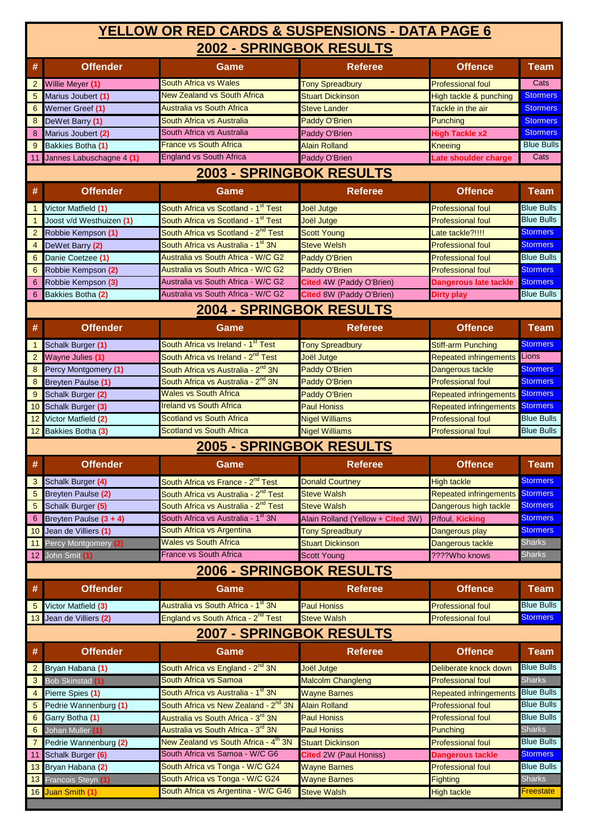### **2002 - SPRINGBOK RESULTS YELLOW OR RED CARDS & SUSPENSIONS - DATA PAGE 6**

|                | <u>ZUVZ - JERINUDUR REJULIJ</u> |                                                  |                                                 |                                        |                   |  |  |
|----------------|---------------------------------|--------------------------------------------------|-------------------------------------------------|----------------------------------------|-------------------|--|--|
| #              | <b>Offender</b>                 | Game                                             | <b>Referee</b>                                  | <b>Offence</b>                         | <b>Team</b>       |  |  |
| $\overline{2}$ | Willie Meyer (1)                | <b>South Africa vs Wales</b>                     | <b>Tony Spreadbury</b>                          | <b>Professional foul</b>               | Cats              |  |  |
| 5              | Marius Joubert (1)              | <b>New Zealand vs South Africa</b>               | <b>Stuart Dickinson</b>                         | High tackle & punching                 | <b>Stormers</b>   |  |  |
| 6              | Werner Greef (1)                | <b>Australia vs South Africa</b>                 | <b>Steve Lander</b>                             | Tackle in the air                      | <b>Stormers</b>   |  |  |
| 8              | DeWet Barry (1)                 | South Africa vs Australia                        | Paddy O'Brien                                   | Punching                               | <b>Stormers</b>   |  |  |
| 8              | Marius Joubert (2)              | South Africa vs Australia                        | Paddy O'Brien                                   | <b>High Tackle x2</b>                  | <b>Stormers</b>   |  |  |
| 9              | Bakkies Botha (1)               | <b>France vs South Africa</b>                    | <b>Alain Rolland</b>                            | <b>Kneeing</b>                         | <b>Blue Bulls</b> |  |  |
| 11             | Jannes Labuschagne 4 (1)        | <b>England vs South Africa</b>                   | Paddy O'Brien                                   | Late shoulder charge                   | Cats              |  |  |
|                |                                 | 2003 - SPRINGBOK RESULTS                         |                                                 |                                        |                   |  |  |
| #              | <b>Offender</b>                 | Game                                             | <b>Referee</b>                                  | <b>Offence</b>                         | <b>Team</b>       |  |  |
| $\mathbf{1}$   | Victor Matfield (1)             | South Africa vs Scotland - 1 <sup>st</sup> Test  | Joël Jutge                                      | <b>Professional foul</b>               | <b>Blue Bulls</b> |  |  |
| $\mathbf{1}$   | Joost v/d Westhuizen (1)        | South Africa vs Scotland - 1 <sup>st</sup> Test  | Joël Jutge                                      | <b>Professional foul</b>               | <b>Blue Bulls</b> |  |  |
| $\overline{2}$ | Robbie Kempson (1)              | South Africa vs Scotland - 2 <sup>nd</sup> Test  | <b>Scott Young</b>                              | Late tackle?!!!!                       | <b>Stormers</b>   |  |  |
| $\overline{4}$ | DeWet Barry (2)                 | South Africa vs Australia - 1 <sup>st</sup> 3N   | Steve Welsh                                     | <b>Professional foul</b>               | <b>Stormers</b>   |  |  |
| 6              | Danie Coetzee (1)               | Australia vs South Africa - W/C G2               | <b>Paddy O'Brien</b>                            | <b>Professional foul</b>               | <b>Blue Bulls</b> |  |  |
| 6              | Robbie Kempson (2)              | Australia vs South Africa - W/C G2               | <b>Paddy O'Brien</b>                            | <b>Professional foul</b>               | <b>Stormers</b>   |  |  |
| 6              | Robbie Kempson (3)              | Australia vs South Africa - W/C G2               | Cited 4W (Paddy O'Brien)                        | <b>Dangerous late tackle</b>           | <b>Stormers</b>   |  |  |
| 6              | Bakkies Botha (2)               | Australia vs South Africa - W/C G2               | Cited 8W (Paddy O'Brien)                        | <b>Dirty play</b>                      | <b>Blue Bulls</b> |  |  |
|                |                                 | <b>2004 - SPRINGBOK RESULTS</b>                  |                                                 |                                        |                   |  |  |
| #              | <b>Offender</b>                 | Game                                             | <b>Referee</b>                                  | <b>Offence</b>                         | <b>Team</b>       |  |  |
| $\mathbf{1}$   | Schalk Burger (1)               | South Africa vs Ireland - 1 <sup>st</sup> Test   | <b>Tony Spreadbury</b>                          | <b>Stiff-arm Punching</b>              | <b>Stormers</b>   |  |  |
| $\overline{2}$ | Wayne Julies (1)                | South Africa vs Ireland - 2 <sup>nd</sup> Test   | Joël Jutge                                      | Repeated infringements                 | Lions             |  |  |
| 8              | Percy Montgomery (1)            | South Africa vs Australia - 2 <sup>nd</sup> 3N   | <b>Paddy O'Brien</b>                            | Dangerous tackle                       | <b>Stormers</b>   |  |  |
| 8              | <b>Breyten Paulse (1)</b>       | South Africa vs Australia - 2 <sup>nd</sup> 3N   | Paddy O'Brien                                   | <b>Professional foul</b>               | <b>Stormers</b>   |  |  |
| 9              | Schalk Burger (2)               | <b>Wales vs South Africa</b>                     | <b>Paddy O'Brien</b>                            | <b>Repeated infringements</b>          | <b>Stormers</b>   |  |  |
| 10             | Schalk Burger (3)               | <b>Ireland vs South Africa</b>                   | Paul Honiss                                     | <b>Repeated infringements</b>          | <b>Stormers</b>   |  |  |
| 12             | Victor Matfield (2)             | <b>Scotland vs South Africa</b>                  | <b>Nigel Williams</b>                           | <b>Professional foul</b>               | <b>Blue Bulls</b> |  |  |
|                | 12 Bakkies Botha (3)            | <b>Scotland vs South Africa</b>                  | <b>Nigel Williams</b>                           | <b>Professional foul</b>               | <b>Blue Bulls</b> |  |  |
|                |                                 | 2005 - SPRINGBOK RESULTS                         |                                                 |                                        |                   |  |  |
| #              | <b>Offender</b>                 | Game                                             | <b>Referee</b>                                  | <b>Offence</b>                         | <b>Team</b>       |  |  |
| 3              | Schalk Burger (4)               | South Africa vs France - 2 <sup>nd</sup> Test    | <b>Donald Courtney</b>                          | <b>High tackle</b>                     | <b>Stormers</b>   |  |  |
|                | <b>Breyten Paulse (2)</b>       | South Africa vs Australia - 2 <sup>nd</sup> Test | <b>Steve Walsh</b>                              | <b>Repeated infringements Stormers</b> |                   |  |  |
|                | 5 Schalk Burger (5)             | South Africa vs Australia - 2 <sup>nd</sup> Test | <b>Steve Walsh</b>                              | Dangerous high tackle                  | <b>Stormers</b>   |  |  |
| 6              | Breyten Paulse (3 + 4)          | South Africa vs Australia - 1 <sup>st</sup> 3N   | Alain Rolland (Yellow + Cited 3W)               | P/foul, Kicking                        | <b>Stormers</b>   |  |  |
|                | 10 Jean de Villiers (1)         | South Africa vs Argentina                        | <b>Tony Spreadbury</b>                          | Dangerous play                         | <b>Stormers</b>   |  |  |
|                | 11 Percy Montgomery (2)         | <b>Wales vs South Africa</b>                     | <b>Stuart Dickinson</b>                         | Dangerous tackle                       | <b>Sharks</b>     |  |  |
|                | 12 John Smit (1)                | <b>France vs South Africa</b>                    | <b>Scott Young</b>                              | ????Who knows                          | <b>Sharks</b>     |  |  |
|                |                                 | 2006 - SPRINGBOK RESULTS                         |                                                 |                                        |                   |  |  |
| #              | <b>Offender</b>                 | Game                                             | <b>Referee</b>                                  | <b>Offence</b>                         | <b>Team</b>       |  |  |
| 5              | Victor Matfield (3)             | Australia vs South Africa - 1 <sup>st</sup> 3N   | <b>Paul Honiss</b>                              | <b>Professional foul</b>               | <b>Blue Bulls</b> |  |  |
|                | 13 Jean de Villiers (2)         | England vs South Africa - 2 <sup>nd</sup> Test   | <b>Steve Walsh</b>                              | <b>Professional foul</b>               | <b>Stormers</b>   |  |  |
|                | 2007 - SPRINGBOK RESULTS        |                                                  |                                                 |                                        |                   |  |  |
| #              | <b>Offender</b>                 | Game                                             | <b>Referee</b>                                  | <b>Offence</b>                         | <b>Team</b>       |  |  |
| $\overline{2}$ | Bryan Habana (1)                | South Africa vs England - 2 <sup>nd</sup> 3N     | Joël Jutge                                      | Deliberate knock down                  | <b>Blue Bulls</b> |  |  |
|                | 3 Bob Skinstad (1)              | South Africa vs Samoa                            | <b>Malcolm Changleng</b>                        | <b>Professional foul</b>               | <b>Sharks</b>     |  |  |
| 4              | Pierre Spies (1)                | South Africa vs Australia - 1 <sup>st</sup> 3N   | <b>Wayne Barnes</b>                             | <b>Repeated infringements</b>          | <b>Blue Bulls</b> |  |  |
| 5              | Pedrie Wannenburg (1)           | South Africa vs New Zealand - 2 <sup>nd</sup> 3N | <b>Alain Rolland</b>                            | <b>Professional foul</b>               | <b>Blue Bulls</b> |  |  |
| 6              | Garry Botha (1)                 | Australia vs South Africa - 3 <sup>rd</sup> 3N   | <b>Paul Honiss</b><br><b>Professional foul</b>  |                                        | <b>Blue Bulls</b> |  |  |
| 6              | Johan Muller (1)                | Australia vs South Africa - 3 <sup>rd</sup> 3N   | <b>Paul Honiss</b><br><b>Punching</b>           |                                        | <b>Sharks</b>     |  |  |
| 7              | Pedrie Wannenburg (2)           | New Zealand vs South Africa - 4 <sup>th</sup> 3N | <b>Stuart Dickinson</b>                         | <b>Professional foul</b>               | <b>Blue Bulls</b> |  |  |
| 11             | Schalk Burger (6)               | South Africa vs Samoa - W/C G6                   | Cited 2W (Paul Honiss)                          | <b>Dangerous tackle</b>                | <b>Stormers</b>   |  |  |
|                | 13 Bryan Habana (2)             | South Africa vs Tonga - W/C G24                  | <b>Professional foul</b><br><b>Wayne Barnes</b> |                                        | <b>Blue Bulls</b> |  |  |
|                |                                 |                                                  | <b>Wayne Barnes</b><br><b>Fighting</b>          |                                        |                   |  |  |
|                | 13 Francois Steyn (1)           | South Africa vs Tonga - W/C G24                  |                                                 |                                        | <b>Sharks</b>     |  |  |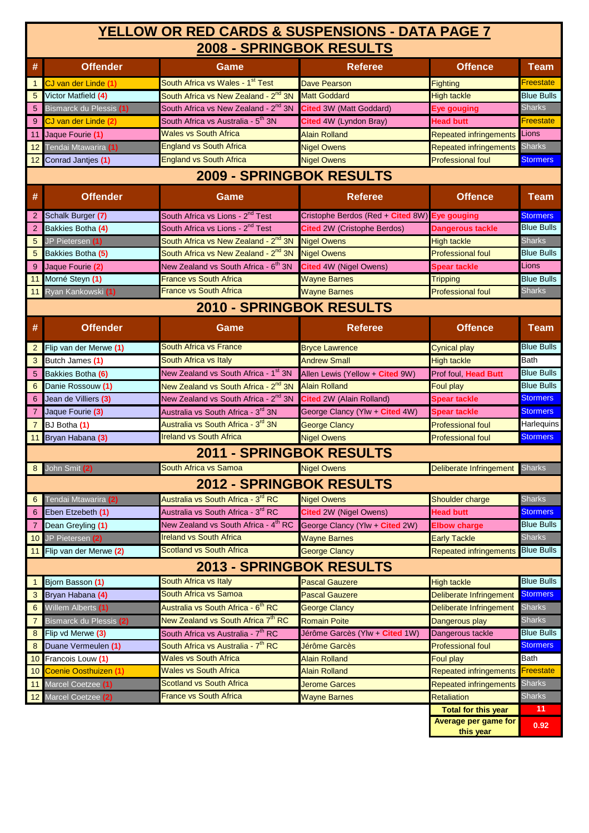### **2008 - SPRINGBOK RESULTS YELLOW OR RED CARDS & SUSPENSIONS - DATA PAGE 7**

| #               | <b>Offender</b>                 | Game                                             | <b>Referee</b>                     | <b>Offence</b>                                     | <b>Team</b>       |  |
|-----------------|---------------------------------|--------------------------------------------------|------------------------------------|----------------------------------------------------|-------------------|--|
| $\mathbf{1}$    | CJ van der Linde (1)            | South Africa vs Wales - 1 <sup>st</sup> Test     | <b>Dave Pearson</b>                | <b>Fighting</b>                                    | Freestate         |  |
| $5\phantom{.0}$ | Victor Matfield (4)             | South Africa vs New Zealand - 2 <sup>nd</sup> 3N | <b>Matt Goddard</b>                | <b>High tackle</b>                                 | <b>Blue Bulls</b> |  |
| 5 <sub>5</sub>  | Bismarck du Plessis (1)         | South Africa vs New Zealand - 2 <sup>nd</sup> 3N | Cited 3W (Matt Goddard)            | Eye gouging                                        | <b>Sharks</b>     |  |
| 9               | CJ van der Linde (2)            | South Africa vs Australia - 5 <sup>th</sup> 3N   | Cited 4W (Lyndon Bray)             | <b>Head butt</b>                                   | Freestate         |  |
| 11              | Jaque Fourie (1)                | <b>Wales vs South Africa</b>                     | <b>Alain Rolland</b>               | <b>Repeated infringements</b>                      | Lions             |  |
| 12 <sub>2</sub> | Tendai Mtawarira (1)            | <b>England vs South Africa</b>                   | <b>Nigel Owens</b>                 | <b>Repeated infringements</b>                      | <b>Sharks</b>     |  |
| 12              | Conrad Jantjes (1)              | <b>England vs South Africa</b>                   | <b>Nigel Owens</b>                 | <b>Professional foul</b>                           | <b>Stormers</b>   |  |
|                 |                                 | 2009 - SPRINGBOK RESULTS                         |                                    |                                                    |                   |  |
| #               | <b>Offender</b>                 | Game                                             | <b>Referee</b>                     | <b>Offence</b>                                     | Team              |  |
| $\overline{2}$  | Schalk Burger (7)               | South Africa vs Lions - 2 <sup>nd</sup> Test     | Cristophe Berdos (Red + Cited 8W)  | <b>Eye gouging</b>                                 | <b>Stormers</b>   |  |
| $\overline{2}$  | Bakkies Botha (4)               | South Africa vs Lions - 2 <sup>nd</sup> Test     | <b>Cited</b> 2W (Cristophe Berdos) | <b>Dangerous tackle</b>                            | <b>Blue Bulls</b> |  |
| $5\phantom{.0}$ | JP Pietersen (1)                | South Africa vs New Zealand - 2 <sup>nd</sup> 3N | <b>Nigel Owens</b>                 | <b>High tackle</b>                                 | <b>Sharks</b>     |  |
| $5\phantom{.0}$ | Bakkies Botha (5)               | South Africa vs New Zealand - 2 <sup>nd</sup> 3N | <b>Nigel Owens</b>                 | <b>Professional foul</b>                           | <b>Blue Bulls</b> |  |
| 9               | Jaque Fourie (2)                | New Zealand vs South Africa - 6 <sup>th</sup> 3N | Cited 4W (Nigel Owens)             | <b>Spear tackle</b>                                | Lions             |  |
| 11              | Morné Steyn (1)                 | <b>France vs South Africa</b>                    | <b>Wayne Barnes</b>                | <b>Tripping</b>                                    | <b>Blue Bulls</b> |  |
| 11              | Ryan Kankowski (1)              | France vs South Africa                           | <b>Wayne Barnes</b>                | <b>Professional foul</b>                           | <b>Sharks</b>     |  |
|                 |                                 | 2010 - SPRINGBOK RESULTS                         |                                    |                                                    |                   |  |
| #               | <b>Offender</b>                 | Game                                             | <b>Referee</b>                     | <b>Offence</b>                                     | <b>Team</b>       |  |
| $\overline{2}$  | Flip van der Merwe (1)          | <b>South Africa vs France</b>                    | <b>Bryce Lawrence</b>              | <b>Cynical play</b>                                | <b>Blue Bulls</b> |  |
| 3               | Butch James (1)                 | South Africa vs Italy                            | <b>Andrew Small</b>                | <b>High tackle</b>                                 | Bath              |  |
| 5               | Bakkies Botha (6)               | New Zealand vs South Africa - 1 <sup>st</sup> 3N | Allen Lewis (Yellow + Cited 9W)    | Prof foul, Head Butt                               | <b>Blue Bulls</b> |  |
| 6               | Danie Rossouw (1)               | New Zealand vs South Africa - 2 <sup>nd</sup> 3N | <b>Alain Rolland</b>               | Foul play                                          | <b>Blue Bulls</b> |  |
| 6               | Jean de Villiers (3)            | New Zealand vs South Africa - 2 <sup>nd</sup> 3N | Cited 2W (Alain Rolland)           | <b>Spear tackle</b>                                | <b>Stormers</b>   |  |
| $\mathbf{7}$    | Jaque Fourie (3)                | Australia vs South Africa - 3 <sup>rd</sup> 3N   | George Clancy (Ylw + Cited 4W)     | <b>Spear tackle</b>                                | <b>Stormers</b>   |  |
| $\overline{7}$  | BJ Botha (1)                    | Australia vs South Africa - 3 <sup>rd</sup> 3N   | <b>George Clancy</b>               | <b>Professional foul</b>                           | Harlequins        |  |
| 11              | Bryan Habana (3)                | <b>Ireland vs South Africa</b>                   | <b>Nigel Owens</b>                 | <b>Professional foul</b>                           | <b>Stormers</b>   |  |
|                 |                                 | 2011 - SPRINGBOK RESULTS                         |                                    |                                                    |                   |  |
| 8               | John Smit (2)                   | South Africa vs Samoa                            | <b>Nigel Owens</b>                 | Deliberate Infringement                            | Sharks            |  |
|                 | <b>2012 - SPRINGBOK RESULTS</b> |                                                  |                                    |                                                    |                   |  |
| 6               | Tendai Mtawarira (2)            | Australia vs South Africa - 3 <sup>rd</sup> RC   | <b>Nigel Owens</b>                 | Shoulder charge                                    | <b>Sharks</b>     |  |
| 6               | Eben Etzebeth (1)               | Australia vs South Africa - 3 <sup>rd</sup> RC   | <b>Cited</b> 2W (Nigel Owens)      | <b>Head butt</b>                                   | <b>Stormers</b>   |  |
| $\overline{7}$  | Dean Greyling (1)               | New Zealand vs South Africa - 4 <sup>th</sup> RC | George Clancy (Ylw + Cited 2W)     | <b>Elbow charge</b>                                | <b>Blue Bulls</b> |  |
| 10 <sup>°</sup> | JP Pietersen (2)                | <b>Ireland vs South Africa</b>                   | <b>Wayne Barnes</b>                | <b>Early Tackle</b>                                | <b>Sharks</b>     |  |
| 11              | Flip van der Merwe (2)          | <b>Scotland vs South Africa</b>                  | <b>George Clancy</b>               | <b>Repeated infringements</b>                      | <b>Blue Bulls</b> |  |
|                 | <b>2013 - SPRINGBOK RESULTS</b> |                                                  |                                    |                                                    |                   |  |
| $\mathbf{1}$    | Biorn Basson (1)                | South Africa vs Italy                            | <b>Pascal Gauzere</b>              | <b>High tackle</b>                                 | <b>Blue Bulls</b> |  |
| $\mathbf{3}$    | Bryan Habana (4)                | South Africa vs Samoa                            | <b>Pascal Gauzere</b>              | Deliberate Infringement                            | <b>Stormers</b>   |  |
| 6               | Willem Alberts (1)              | Australia vs South Africa - 6 <sup>th</sup> RC   | <b>George Clancy</b>               | <b>Deliberate Infringement</b>                     | <b>Sharks</b>     |  |
| $\overline{7}$  | Bismarck du Plessis (2)         | New Zealand vs South Africa 7 <sup>th</sup> RC   | <b>Romain Poite</b>                | Dangerous play                                     | <b>Sharks</b>     |  |
| 8               | Flip vd Merwe (3)               | South Africa vs Australia - 7 <sup>th</sup> RC   | Jérôme Garcès (Ylw + Cited 1W)     | Dangerous tackle                                   | <b>Blue Bulls</b> |  |
| 8               | Duane Vermeulen (1)             | South Africa vs Australia - 7 <sup>th</sup> RC   | Jérôme Garcès                      | <b>Professional foul</b>                           | <b>Stormers</b>   |  |
| 10 <sup>°</sup> | Francois Louw (1)               | <b>Wales vs South Africa</b>                     | <b>Alain Rolland</b>               | Foul play                                          | Bath              |  |
| 10              | <b>Coenie Oosthuizen (1)</b>    | <b>Wales vs South Africa</b>                     | <b>Alain Rolland</b>               | <b>Repeated infringements</b>                      | <b>Freestate</b>  |  |
| 11              | Marcel Coetzee (1)              | <b>Scotland vs South Africa</b>                  | <b>Jerome Garces</b>               | <b>Repeated infringements</b>                      | <b>Sharks</b>     |  |
|                 | 12 Marcel Coetzee (2)           | <b>France vs South Africa</b>                    | <b>Wayne Barnes</b>                | <b>Retaliation</b>                                 | <b>Sharks</b>     |  |
|                 |                                 |                                                  |                                    | <b>Total for this year</b><br>Average per game for | 11                |  |
|                 |                                 |                                                  |                                    | this year                                          | 0.92              |  |